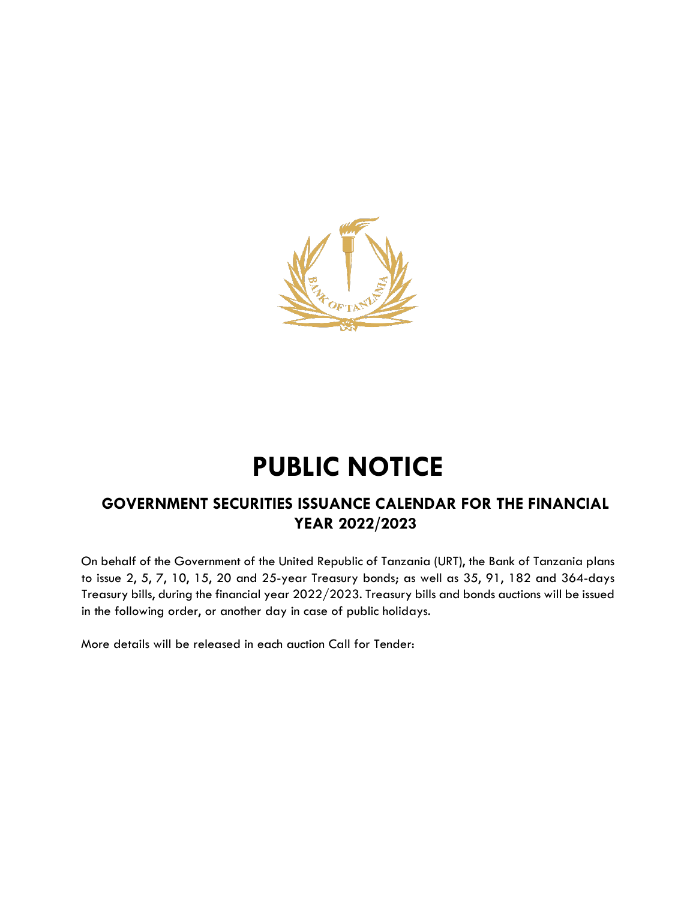

## **PUBLIC NOTICE**

## **GOVERNMENT SECURITIES ISSUANCE CALENDAR FOR THE FINANCIAL YEAR 2022/2023**

On behalf of the Government of the United Republic of Tanzania (URT), the Bank of Tanzania plans to issue 2, 5, 7, 10, 15, 20 and 25-year Treasury bonds; as well as 35, 91, 182 and 364-days Treasury bills, during the financial year 2022/2023. Treasury bills and bonds auctions will be issued in the following order, or another day in case of public holidays.

More details will be released in each auction Call for Tender: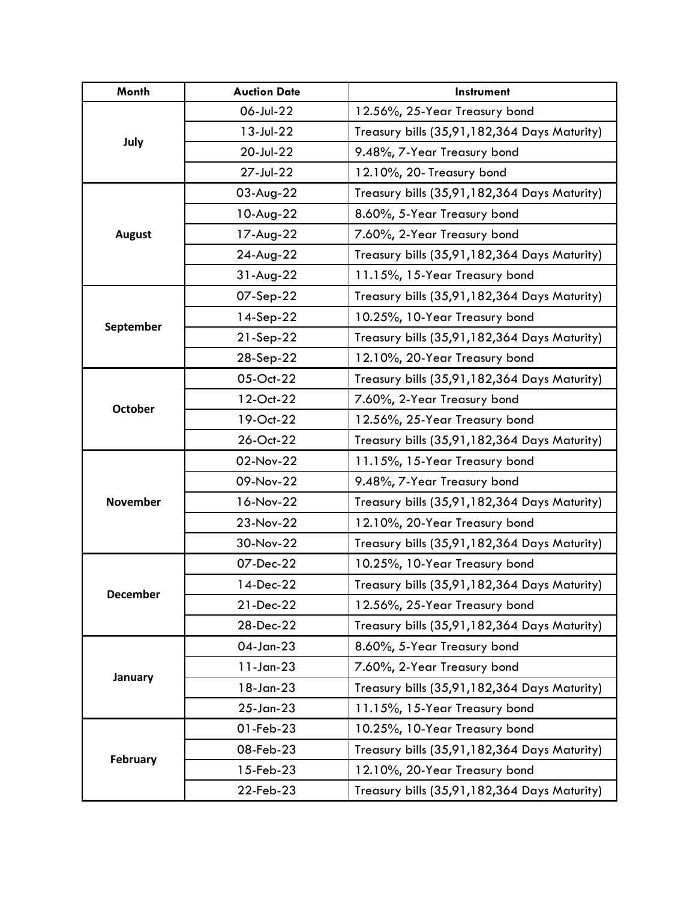| Month           | <b>Auction Date</b> | Instrument                                   |
|-----------------|---------------------|----------------------------------------------|
|                 | 06-Jul-22           | 12.56%, 25-Year Treasury bond                |
| July            | 13-Jul-22           | Treasury bills (35,91,182,364 Days Maturity) |
|                 | 20-Jul-22           | 9.48%, 7-Year Treasury bond                  |
|                 | 27-Jul-22           | 12.10%, 20- Treasury bond                    |
| <b>August</b>   | 03-Aug-22           | Treasury bills (35,91,182,364 Days Maturity) |
|                 | 10-Aug-22           | 8.60%, 5-Year Treasury bond                  |
|                 | 17-Aug-22           | 7.60%, 2-Year Treasury bond                  |
|                 | 24-Aug-22           | Treasury bills (35,91,182,364 Days Maturity) |
|                 | $31-Aug-22$         | 11.15%, 15-Year Treasury bond                |
|                 | 07-Sep-22           | Treasury bills (35,91,182,364 Days Maturity) |
|                 | 14-Sep-22           | 10.25%, 10-Year Treasury bond                |
| September       | 21-Sep-22           | Treasury bills (35,91,182,364 Days Maturity) |
|                 | 28-Sep-22           | 12.10%, 20-Year Treasury bond                |
|                 | 05-Oct-22           | Treasury bills (35,91,182,364 Days Maturity) |
|                 | 12-Oct-22           | 7.60%, 2-Year Treasury bond                  |
| <b>October</b>  | 19-Oct-22           | 12.56%, 25-Year Treasury bond                |
|                 | 26-Oct-22           | Treasury bills (35,91,182,364 Days Maturity) |
|                 | 02-Nov-22           | 11.15%, 15-Year Treasury bond                |
|                 | 09-Nov-22           | 9.48%, 7-Year Treasury bond                  |
| <b>November</b> | 16-Nov-22           | Treasury bills (35,91,182,364 Days Maturity) |
|                 | 23-Nov-22           | 12.10%, 20-Year Treasury bond                |
|                 | 30-Nov-22           | Treasury bills (35,91,182,364 Days Maturity) |
|                 | 07-Dec-22           | 10.25%, 10-Year Treasury bond                |
|                 | 14-Dec-22           | Treasury bills (35,91,182,364 Days Maturity) |
| <b>December</b> | 21-Dec-22           | 12.56%, 25-Year Treasury bond                |
|                 | 28-Dec-22           | Treasury bills (35,91,182,364 Days Maturity) |
|                 | 04-Jan-23           | 8.60%, 5-Year Treasury bond                  |
| January         | $11$ -Jan-23        | 7.60%, 2-Year Treasury bond                  |
|                 | 18-Jan-23           | Treasury bills (35,91,182,364 Days Maturity) |
|                 | $25$ -Jan- $23$     | 11.15%, 15-Year Treasury bond                |
| February        | 01-Feb-23           | 10.25%, 10-Year Treasury bond                |
|                 | 08-Feb-23           | Treasury bills (35,91,182,364 Days Maturity) |
|                 | 15-Feb-23           | 12.10%, 20-Year Treasury bond                |
|                 | 22-Feb-23           | Treasury bills (35,91,182,364 Days Maturity) |